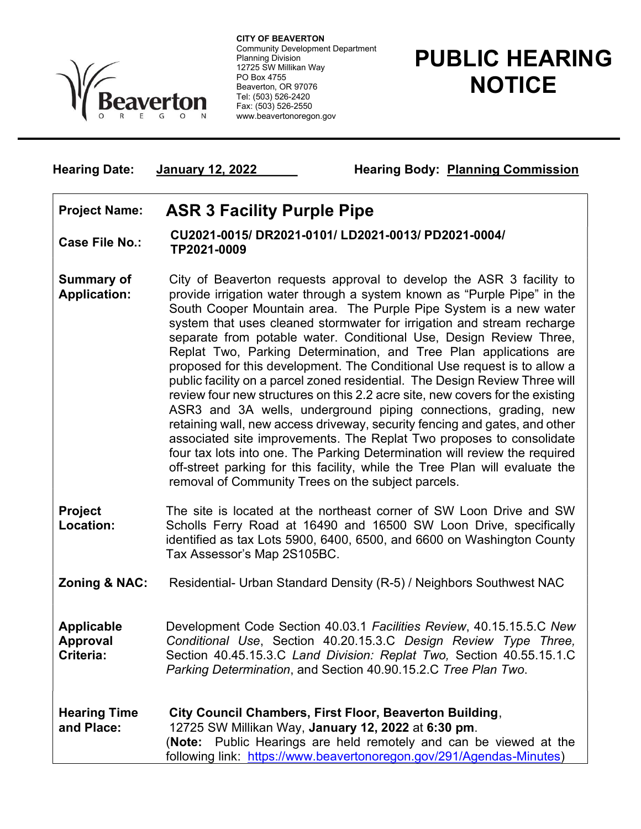

 Community Development Department CITY OF BEAVERTON Planning Division 12725 SW Millikan Way PO Box 4755 Beaverton, OR 97076 Tel: (503) 526-2420 Fax: (503) 526-2550 www.beavertonoregon.gov

## PUBLIC HEARING **NOTICE**

Hearing Date: January 12, 2022 Hearing Body: Planning Commission

## Project Name: ASR 3 Facility Purple Pipe

Case File No.: CU2021-0015/ DR2021-0101/ LD2021-0013/ PD2021-0004/ TP2021-0009

- Summary of Application: City of Beaverton requests approval to develop the ASR 3 facility to provide irrigation water through a system known as "Purple Pipe" in the South Cooper Mountain area. The Purple Pipe System is a new water system that uses cleaned stormwater for irrigation and stream recharge separate from potable water. Conditional Use, Design Review Three, Replat Two, Parking Determination, and Tree Plan applications are proposed for this development. The Conditional Use request is to allow a public facility on a parcel zoned residential. The Design Review Three will review four new structures on this 2.2 acre site, new covers for the existing ASR3 and 3A wells, underground piping connections, grading, new retaining wall, new access driveway, security fencing and gates, and other associated site improvements. The Replat Two proposes to consolidate four tax lots into one. The Parking Determination will review the required off-street parking for this facility, while the Tree Plan will evaluate the removal of Community Trees on the subject parcels.
- Project Location: The site is located at the northeast corner of SW Loon Drive and SW Scholls Ferry Road at 16490 and 16500 SW Loon Drive, specifically identified as tax Lots 5900, 6400, 6500, and 6600 on Washington County Tax Assessor's Map 2S105BC.
- **Zoning & NAC:** Residential- Urban Standard Density (R-5) / Neighbors Southwest NAC

Applicable Approval Criteria: Development Code Section 40.03.1 Facilities Review, 40.15.15.5.C New Conditional Use, Section 40.20.15.3.C Design Review Type Three, Section 40.45.15.3.C Land Division: Replat Two, Section 40.55.15.1.C Parking Determination, and Section 40.90.15.2.C Tree Plan Two.

Hearing Time and Place: City Council Chambers, First Floor, Beaverton Building, 12725 SW Millikan Way, January 12, 2022 at 6:30 pm. (Note: Public Hearings are held remotely and can be viewed at the following link: https://www.beavertonoregon.gov/291/Agendas-Minutes)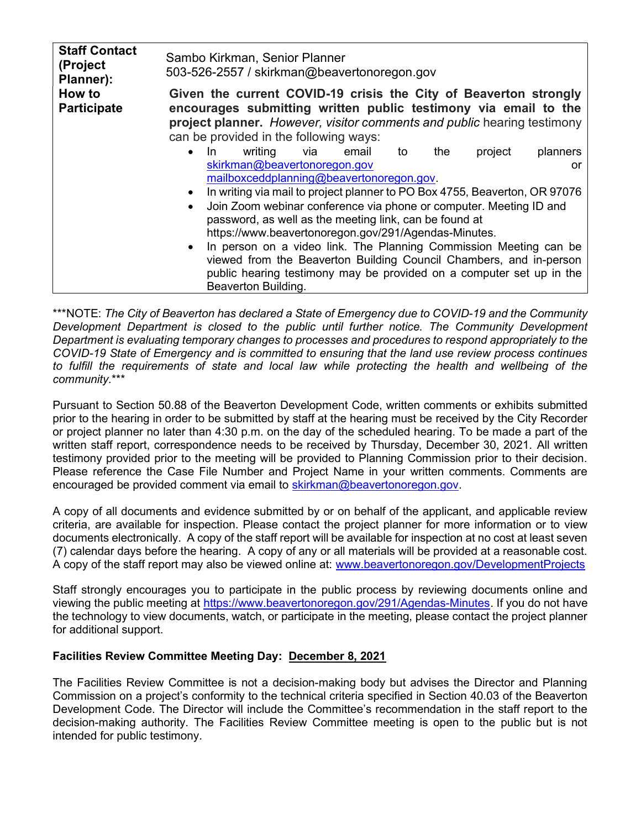| <b>Staff Contact</b><br>(Project<br>Planner): | Sambo Kirkman, Senior Planner<br>503-526-2557 / skirkman@beavertonoregon.gov                                                                                                                                                                                                                                                                                                                                                                                                                                                |
|-----------------------------------------------|-----------------------------------------------------------------------------------------------------------------------------------------------------------------------------------------------------------------------------------------------------------------------------------------------------------------------------------------------------------------------------------------------------------------------------------------------------------------------------------------------------------------------------|
| How to<br><b>Participate</b>                  | Given the current COVID-19 crisis the City of Beaverton strongly<br>encourages submitting written public testimony via email to the<br>project planner. However, visitor comments and public hearing testimony<br>can be provided in the following ways:                                                                                                                                                                                                                                                                    |
|                                               | writing<br>project<br>planners<br>the<br>In.<br>via<br>email<br>to<br>$\bullet$<br>skirkman@beavertonoregon.gov<br><u>or</u><br>mailboxceddplanning@beavertonoregon.gov.                                                                                                                                                                                                                                                                                                                                                    |
|                                               | In writing via mail to project planner to PO Box 4755, Beaverton, OR 97076<br>Join Zoom webinar conference via phone or computer. Meeting ID and<br>$\bullet$<br>password, as well as the meeting link, can be found at<br>https://www.beavertonoregon.gov/291/Agendas-Minutes.<br>• In person on a video link. The Planning Commission Meeting can be<br>viewed from the Beaverton Building Council Chambers, and in-person<br>public hearing testimony may be provided on a computer set up in the<br>Beaverton Building. |

\*\*\*NOTE: The City of Beaverton has declared a State of Emergency due to COVID-19 and the Community Development Department is closed to the public until further notice. The Community Development Department is evaluating temporary changes to processes and procedures to respond appropriately to the COVID-19 State of Emergency and is committed to ensuring that the land use review process continues to fulfill the requirements of state and local law while protecting the health and wellbeing of the community.\*\*\*

Pursuant to Section 50.88 of the Beaverton Development Code, written comments or exhibits submitted prior to the hearing in order to be submitted by staff at the hearing must be received by the City Recorder or project planner no later than 4:30 p.m. on the day of the scheduled hearing. To be made a part of the written staff report, correspondence needs to be received by Thursday, December 30, 2021. All written testimony provided prior to the meeting will be provided to Planning Commission prior to their decision. Please reference the Case File Number and Project Name in your written comments. Comments are encouraged be provided comment via email to skirkman@beavertonoregon.gov.

A copy of all documents and evidence submitted by or on behalf of the applicant, and applicable review criteria, are available for inspection. Please contact the project planner for more information or to view documents electronically. A copy of the staff report will be available for inspection at no cost at least seven (7) calendar days before the hearing. A copy of any or all materials will be provided at a reasonable cost. A copy of the staff report may also be viewed online at: www.beavertonoregon.gov/DevelopmentProjects

Staff strongly encourages you to participate in the public process by reviewing documents online and viewing the public meeting at https://www.beavertonoregon.gov/291/Agendas-Minutes. If you do not have the technology to view documents, watch, or participate in the meeting, please contact the project planner for additional support.

## Facilities Review Committee Meeting Day: December 8, 2021

The Facilities Review Committee is not a decision-making body but advises the Director and Planning Commission on a project's conformity to the technical criteria specified in Section 40.03 of the Beaverton Development Code. The Director will include the Committee's recommendation in the staff report to the decision-making authority. The Facilities Review Committee meeting is open to the public but is not intended for public testimony.